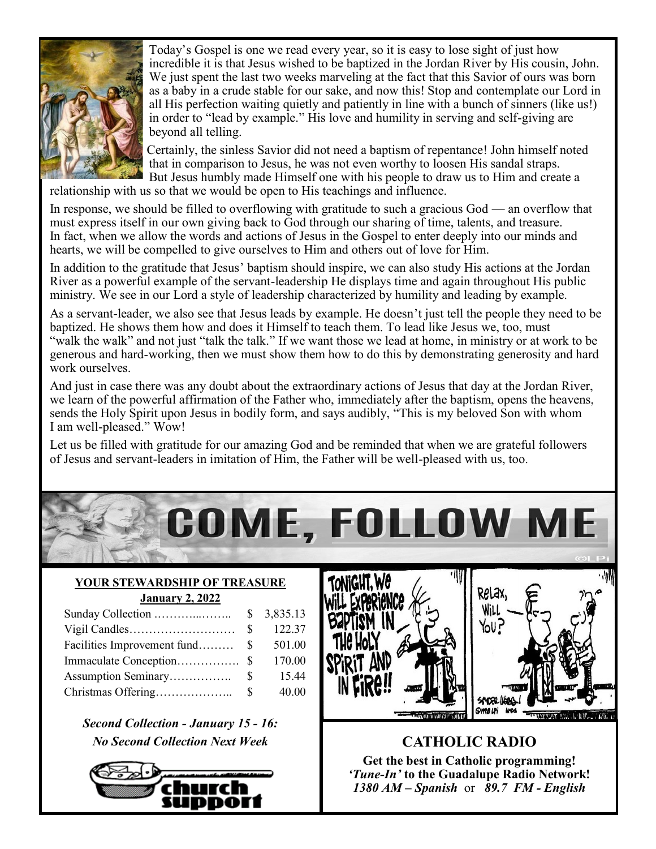

Today's Gospel is one we read every year, so it is easy to lose sight of just how incredible it is that Jesus wished to be baptized in the Jordan River by His cousin, John. We just spent the last two weeks marveling at the fact that this Savior of ours was born as a baby in a crude stable for our sake, and now this! Stop and contemplate our Lord in all His perfection waiting quietly and patiently in line with a bunch of sinners (like us!) in order to "lead by example." His love and humility in serving and self-giving are beyond all telling.

Certainly, the sinless Savior did not need a baptism of repentance! John himself noted that in comparison to Jesus, he was not even worthy to loosen His sandal straps. But Jesus humbly made Himself one with his people to draw us to Him and create a

relationship with us so that we would be open to His teachings and influence.

In response, we should be filled to overflowing with gratitude to such a gracious God — an overflow that must express itself in our own giving back to God through our sharing of time, talents, and treasure. In fact, when we allow the words and actions of Jesus in the Gospel to enter deeply into our minds and hearts, we will be compelled to give ourselves to Him and others out of love for Him.

In addition to the gratitude that Jesus' baptism should inspire, we can also study His actions at the Jordan River as a powerful example of the servant-leadership He displays time and again throughout His public ministry. We see in our Lord a style of leadership characterized by humility and leading by example.

As a servant-leader, we also see that Jesus leads by example. He doesn't just tell the people they need to be baptized. He shows them how and does it Himself to teach them. To lead like Jesus we, too, must "walk the walk" and not just "talk the talk." If we want those we lead at home, in ministry or at work to be generous and hard-working, then we must show them how to do this by demonstrating generosity and hard work ourselves.

And just in case there was any doubt about the extraordinary actions of Jesus that day at the Jordan River, we learn of the powerful affirmation of the Father who, immediately after the baptism, opens the heavens, sends the Holy Spirit upon Jesus in bodily form, and says audibly, "This is my beloved Son with whom I am well-pleased." Wow!

Let us be filled with gratitude for our amazing God and be reminded that when we are grateful followers of Jesus and servant-leaders in imitation of Him, the Father will be well-pleased with us, too.



#### **YOUR STEWARDSHIP OF TREASURE January 2, 2022**

|                                | $\mathbb{S}$ | 122.37 |
|--------------------------------|--------------|--------|
| Facilities Improvement fund \$ |              | 501.00 |
|                                |              | 170.00 |
|                                |              | 15.44  |
|                                |              | 40.00  |

*Second Collection - January 15 - 16: No Second Collection Next Week* **CATHOLIC RADIO** 







**Get the best in Catholic programming!**  *'Tune-In'* **to the Guadalupe Radio Network!** *1380 AM – Spanish* or *89.7 FM - English*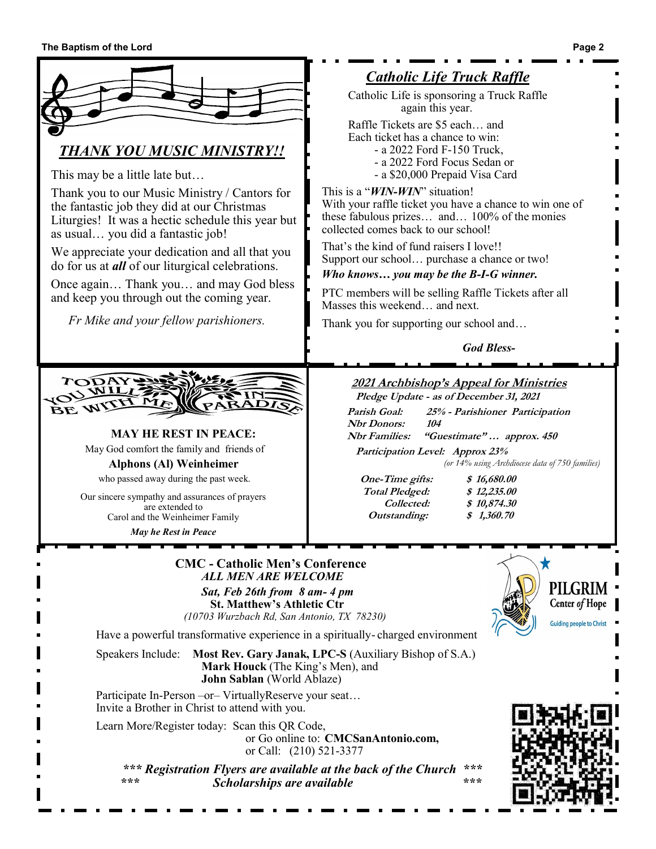

*Catholic Life Truck Raffle*

Catholic Life is sponsoring a Truck Raffle again this year.

Raffle Tickets are \$5 each… and Each ticket has a chance to win:

- a 2022 Ford F-150 Truck,
- a 2022 Ford Focus Sedan or
- a \$20,000 Prepaid Visa Card

This is a "*WIN-WIN*" situation! With your raffle ticket you have a chance to win one of these fabulous prizes… and… 100% of the monies collected comes back to our school!

That's the kind of fund raisers I love!! Support our school… purchase a chance or two!

*Who knows… you may be the B-I-G winner.*

PTC members will be selling Raffle Tickets after all Masses this weekend… and next.

Thank you for supporting our school and…

*God Bless-*

# **<sup>2</sup>021 Archbishop's Appeal for Ministries**

**Pledge Update - as of December 31, 2021** 

**Parish Goal: 25% - Parishioner Participation Nbr Donors: 104**

**Nbr Families: "Guestimate" … approx. 450 Participation Level: Approx 23%**

*(or 14% using Archdiocese data of 750 families)*

**One-Time gifts: \$ 16,680.00 Total Pledged: \$ 12,235.00 Outstanding: \$ 1,360.70**

 **Collected: \$ 10,874.30**

Have a powerful transformative experience in a spiritually- charged environment

Speakers Include: **Most Rev. Gary Janak, LPC-S** (Auxiliary Bishop of S.A.)

Participate In-Person – or– Virtually Reserve your seat... Invite a Brother in Christ to attend with you.

Learn More/Register today: Scan this QR Code, or Go online to: **CMCSanAntonio.com,**  or Call: (210) 521-3377

 *\*\*\* Registration Flyers are available at the back of the Church \*\*\* \*\*\* Scholarships are available \*\*\**



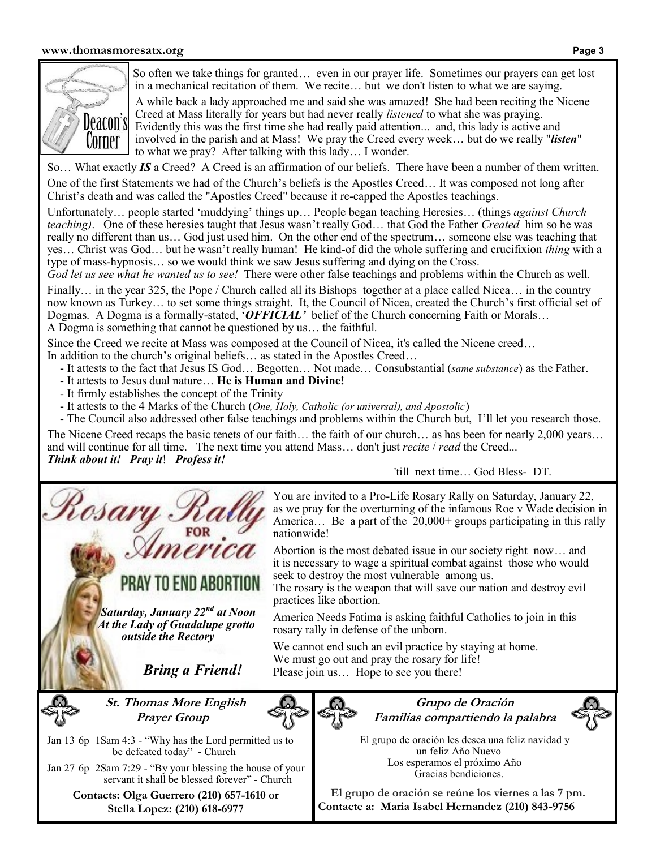

So often we take things for granted… even in our prayer life. Sometimes our prayers can get lost in a mechanical recitation of them. We recite… but we don't listen to what we are saying.

 A while back a lady approached me and said she was amazed! She had been reciting the Nicene Creed at Mass literally for years but had never really *listened* to what she was praying. Evidently this was the first time she had really paid attention... and, this lady is active and involved in the parish and at Mass! We pray the Creed every week… but do we really "*listen*" to what we pray? After talking with this lady… I wonder.

So… What exactly *IS* a Creed? A Creed is an affirmation of our beliefs. There have been a number of them written.

One of the first Statements we had of the Church's beliefs is the Apostles Creed… It was composed not long after Christ's death and was called the "Apostles Creed" because it re-capped the Apostles teachings.

Unfortunately… people started 'muddying' things up… People began teaching Heresies… (things *against Church teaching)*. One of these heresies taught that Jesus wasn't really God… that God the Father *Created* him so he was really no different than us… God just used him. On the other end of the spectrum… someone else was teaching that yes… Christ was God… but he wasn't really human! He kind-of did the whole suffering and crucifixion *thing* with a type of mass-hypnosis… so we would think we saw Jesus suffering and dying on the Cross.

*God let us see what he wanted us to see!* There were other false teachings and problems within the Church as well.

Finally... in the year 325, the Pope / Church called all its Bishops together at a place called Nicea... in the country now known as Turkey… to set some things straight. It, the Council of Nicea, created the Church's first official set of Dogmas. A Dogma is a formally-stated, '*OFFICIAL'* belief of the Church concerning Faith or Morals… A Dogma is something that cannot be questioned by us… the faithful.

Since the Creed we recite at Mass was composed at the Council of Nicea, it's called the Nicene creed…

In addition to the church's original beliefs… as stated in the Apostles Creed…

- It attests to the fact that Jesus IS God… Begotten… Not made… Consubstantial (*same substance*) as the Father.
- It attests to Jesus dual nature… **He is Human and Divine!**
- It firmly establishes the concept of the Trinity

osar

- It attests to the 4 Marks of the Church (*One, Holy, Catholic (or universal), and Apostolic*)
- The Council also addressed other false teachings and problems within the Church but, I'll let you research those.

The Nicene Creed recaps the basic tenets of our faith… the faith of our church… as has been for nearly 2,000 years… and will continue for all time. The next time you attend Mass… don't just *recite* / *read* the Creed... *Think about it! Pray it*! *Profess it!* 

'till next time… God Bless- DT.

You are invited to a Pro-Life Rosary Rally on Saturday, January 22, as we pray for the overturning of the infamous Roe v Wade decision in America... Be a part of the 20,000+ groups participating in this rally nationwide!

Abortion is the most debated issue in our society right now… and it is necessary to wage a spiritual combat against those who would seek to destroy the most vulnerable among us.

The rosary is the weapon that will save our nation and destroy evil practices like abortion.

America Needs Fatima is asking faithful Catholics to join in this rosary rally in defense of the unborn.

We cannot end such an evil practice by staying at home. We must go out and pray the rosary for life! Please join us… Hope to see you there!

**St. Thomas More English Prayer Group**

 *Bring a Friend!*

 *Saturday, January 22nd at Noon At the Lady of Guadalupe grotto outside the Rectory*

PRAY TO END ABORTION



**Grupo de Oración Familias compartiendo la palabra**



 El grupo de oración les desea una feliz navidad y un feliz Año Nuevo Los esperamos el próximo Año Gracias bendiciones.

**El grupo de oración se reúne los viernes a las 7 pm. Contacte a: Maria Isabel Hernandez (210) 843-9756**

Jan 13 6p 1Sam 4:3 - "Why has the Lord permitted us to be defeated today" - Church

Jan 27 6p 2Sam 7:29 - "By your blessing the house of your servant it shall be blessed forever" - Church

> **Contacts: Olga Guerrero (210) 657-1610 or Stella Lopez: (210) 618-6977**